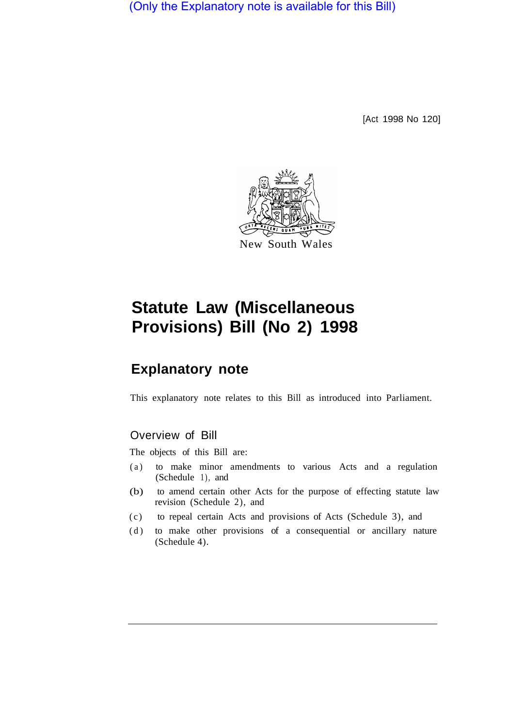(Only the Explanatory note is available for this Bill)

[Act 1998 No 120]



# **Statute Law (Miscellaneous Provisions) Bill (No 2) 1998**

# **Explanatory note**

This explanatory note relates to this Bill as introduced into Parliament.

## Overview of Bill

The objects of this Bill are:

- (a) to make minor amendments to various Acts and a regulation (Schedule 1), and
- (b) to amend certain other Acts for the purpose of effecting statute law revision (Schedule 2), and
- (c) to repeal certain Acts and provisions of Acts (Schedule 3), and
- (d) to make other provisions of a consequential or ancillary nature (Schedule 4).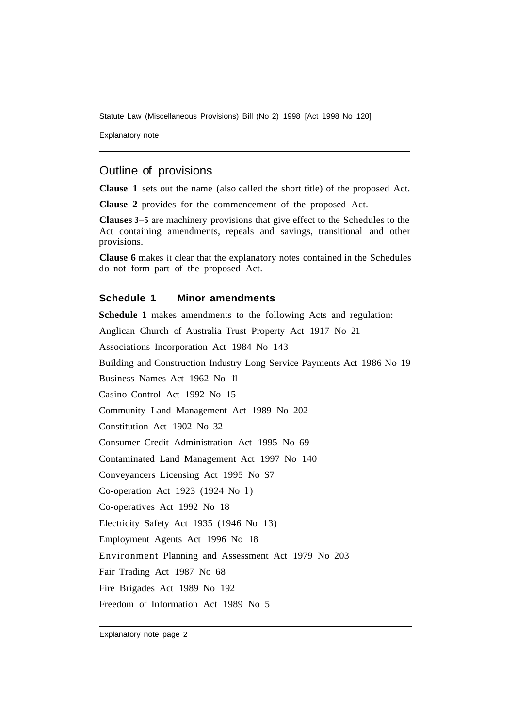Statute Law (Miscellaneous Provisions) Bill (No 2) 1998 [Act 1998 No 120]

Explanatory note

## Outline of provisions

**Clause 1** sets out the name (also called the short title) of the proposed Act.

**Clause 2** provides for the commencement of the proposed Act.

**Clauses 3-5** are machinery provisions that give effect to the Schedules to the Act containing amendments, repeals and savings, transitional and other provisions.

**Clause 6** makes it clear that the explanatory notes contained in the Schedules do not form part of the proposed Act.

#### **Schedule 1 Minor amendments**

**Schedule 1** makes amendments to the following Acts and regulation:

Anglican Church of Australia Trust Property Act 1917 No 21

Associations Incorporation Act 1984 No 143

Building and Construction Industry Long Service Payments Act 1986 No 19

Business Names Act 1962 No 11

Casino Control Act 1992 No 15

Community Land Management Act 1989 No 202

Constitution Act 1902 No 32

Consumer Credit Administration Act 1995 No 69

Contaminated Land Management Act 1997 No 140

Conveyancers Licensing Act 1995 No S7

Co-operation Act 1923 (1924 No l )

Co-operatives Act 1992 No 18

Electricity Safety Act 1935 (1946 No 13)

Employment Agents Act 1996 No 18

Environment Planning and Assessment Act 1979 No 203

Fair Trading Act 1987 No 68

Fire Brigades Act 1989 No 192

Freedom of Information Act 1989 No 5

Explanatory note page 2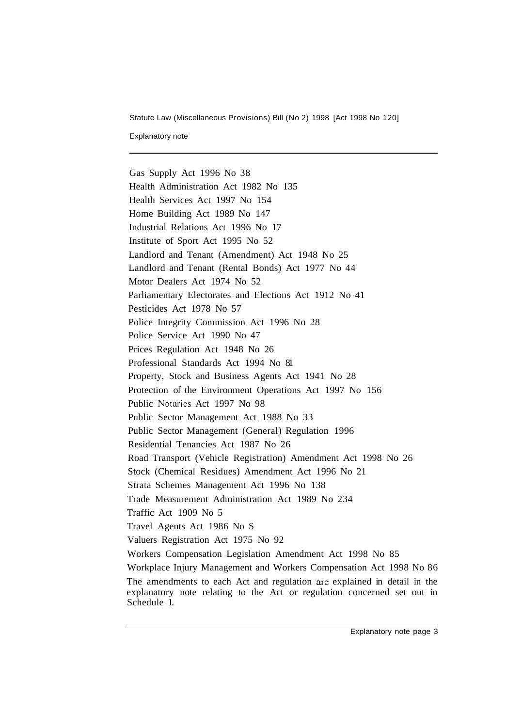Statute Law (Miscellaneous Provisions) Bill (No 2) 1998 [Act 1998 No 120]

Explanatory note

Gas Supply Act 1996 No 38 Health Administration Act 1982 No 135 Health Services Act 1997 No 154 Home Building Act 1989 No 147 Industrial Relations Act 1996 No 17 Institute of Sport Act 1995 No 52 Landlord and Tenant (Amendment) Act 1948 No 25 Landlord and Tenant (Rental Bonds) Act 1977 No 44 Motor Dealers Act 1974 No 52 Parliamentary Electorates and Elections Act 1912 No 41 Pesticides Act 1978 No 57 Police Integrity Commission Act 1996 No 28 Police Service Act 1990 No 47 Prices Regulation Act 1948 No 26 Professional Standards Act 1994 No 81 Property, Stock and Business Agents Act 1941 No 28 Protection of the Environment Operations Act 1997 No 156 Public Notaries Act 1997 No 98 Public Sector Management Act 1988 No 33 Public Sector Management (General) Regulation 1996 Residential Tenancies Act 1987 No 26 Road Transport (Vehicle Registration) Amendment Act 1998 No 26 Stock (Chemical Residues) Amendment Act 1996 No 21 Strata Schemes Management Act 1996 No 138 Trade Measurement Administration Act 1989 No 234 Traffic Act 1909 No 5 Travel Agents Act 1986 No S Valuers Registration Act 1975 No 92 Workers Compensation Legislation Amendment Act 1998 No 85 Workplace Injury Management and Workers Compensation Act 1998 No 86 The amendments to each Act and regulation are explained in detail in the explanatory note relating to the Act or regulation concerned set out in Schedule 1.